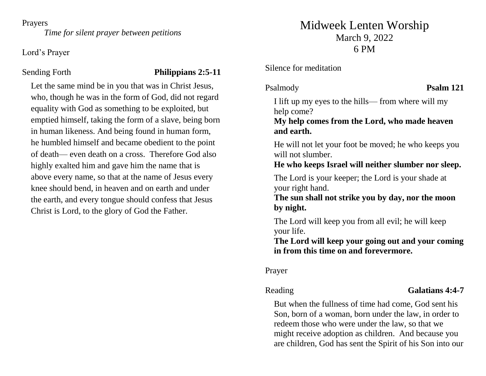Prayers

*Time for silent prayer between petitions*

## Lord's Prayer

### Sending Forth **Philippians 2:5-11**

Let the same mind be in you that was in Christ Jesus, who, though he was in the form of God, did not regard equality with God as something to be exploited, but emptied himself, taking the form of a slave, being born in human likeness. And being found in human form, he humbled himself and became obedient to the point of death— even death on a cross. Therefore God also highly exalted him and gave him the name that is above every name, so that at the name of Jesus every knee should bend, in heaven and on earth and under the earth, and every tongue should confess that Jesus Christ is Lord, to the glory of God the Father.

# Midweek Lenten Worship March 9, 2022 6 PM

Silence for meditation

Psalmody **Psalm 121**

I lift up my eyes to the hills— from where will my help come?

**My help comes from the Lord, who made heaven and earth.** 

He will not let your foot be moved; he who keeps you will not slumber.

**He who keeps Israel will neither slumber nor sleep.** 

The Lord is your keeper; the Lord is your shade at your right hand.

**The sun shall not strike you by day, nor the moon by night.** 

The Lord will keep you from all evil; he will keep your life.

**The Lord will keep your going out and your coming in from this time on and forevermore.** 

Prayer

Reading **Galatians 4:4-7** 

But when the fullness of time had come, God sent his Son, born of a woman, born under the law, in order to redeem those who were under the law, so that we might receive adoption as children. And because you are children, God has sent the Spirit of his Son into our